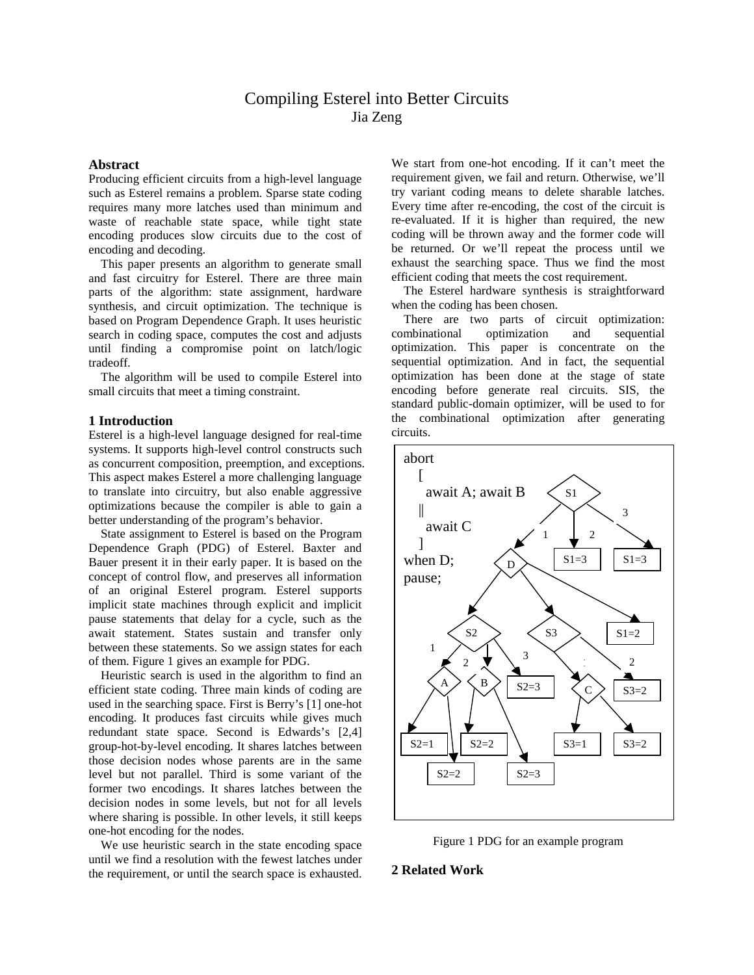# Compiling Esterel into Better Circuits Jia Zeng

# **Abstract**

Producing efficient circuits from a high-level language such as Esterel remains a problem. Sparse state coding requires many more latches used than minimum and waste of reachable state space, while tight state encoding produces slow circuits due to the cost of encoding and decoding.

This paper presents an algorithm to generate small and fast circuitry for Esterel. There are three main parts of the algorithm: state assignment, hardware synthesis, and circuit optimization. The technique is based on Program Dependence Graph. It uses heuristic search in coding space, computes the cost and adjusts until finding a compromise point on latch/logic tradeoff.

The algorithm will be used to compile Esterel into small circuits that meet a timing constraint.

#### **1 Introduction**

Esterel is a high-level language designed for real-time systems. It supports high-level control constructs such as concurrent composition, preemption, and exceptions. This aspect makes Esterel a more challenging language to translate into circuitry, but also enable aggressive optimizations because the compiler is able to gain a better understanding of the program's behavior.

State assignment to Esterel is based on the Program Dependence Graph (PDG) of Esterel. Baxter and Bauer present it in their early paper. It is based on the concept of control flow, and preserves all information of an original Esterel program. Esterel supports implicit state machines through explicit and implicit pause statements that delay for a cycle, such as the await statement. States sustain and transfer only between these statements. So we assign states for each of them. Figure 1 gives an example for PDG.

Heuristic search is used in the algorithm to find an efficient state coding. Three main kinds of coding are used in the searching space. First is Berry's [1] one-hot encoding. It produces fast circuits while gives much redundant state space. Second is Edwards's [2,4] group-hot-by-level encoding. It shares latches between those decision nodes whose parents are in the same level but not parallel. Third is some variant of the former two encodings. It shares latches between the decision nodes in some levels, but not for all levels where sharing is possible. In other levels, it still keeps one-hot encoding for the nodes.

We use heuristic search in the state encoding space until we find a resolution with the fewest latches under the requirement, or until the search space is exhausted. We start from one-hot encoding. If it can't meet the requirement given, we fail and return. Otherwise, we'll try variant coding means to delete sharable latches. Every time after re-encoding, the cost of the circuit is re-evaluated. If it is higher than required, the new coding will be thrown away and the former code will be returned. Or we'll repeat the process until we exhaust the searching space. Thus we find the most efficient coding that meets the cost requirement.

The Esterel hardware synthesis is straightforward when the coding has been chosen.

There are two parts of circuit optimization: combinational optimization and sequential optimization. This paper is concentrate on the sequential optimization. And in fact, the sequential optimization has been done at the stage of state encoding before generate real circuits. SIS, the standard public-domain optimizer, will be used to for the combinational optimization after generating circuits.





# **2 Related Work**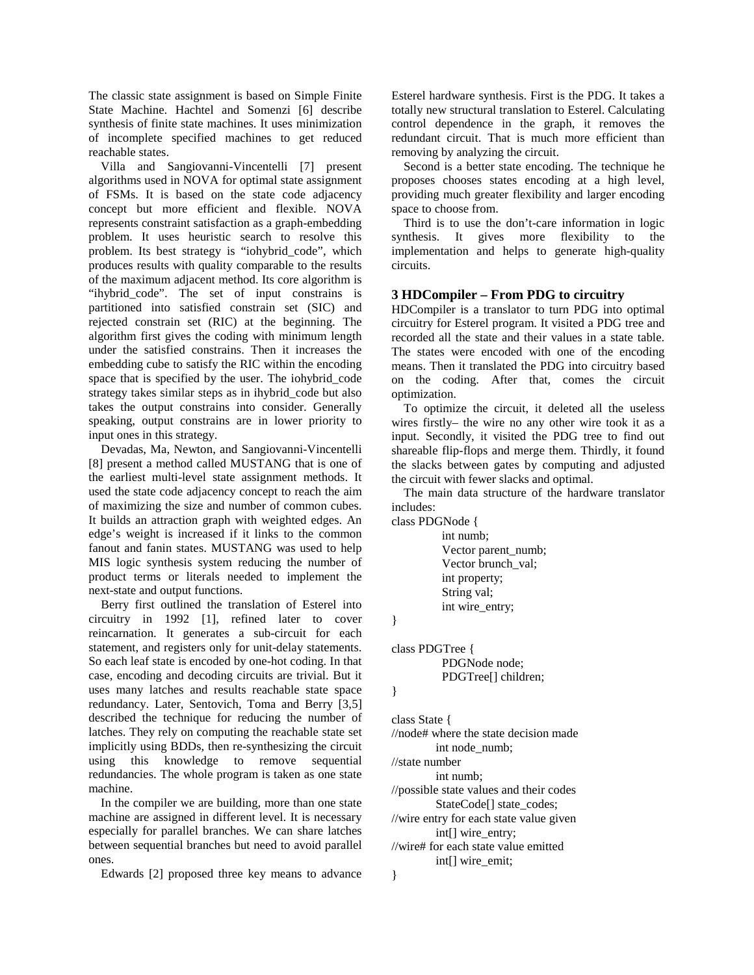The classic state assignment is based on Simple Finite State Machine. Hachtel and Somenzi [6] describe synthesis of finite state machines. It uses minimization of incomplete specified machines to get reduced reachable states.

Villa and Sangiovanni-Vincentelli [7] present algorithms used in NOVA for optimal state assignment of FSMs. It is based on the state code adjacency concept but more efficient and flexible. NOVA represents constraint satisfaction as a graph-embedding problem. It uses heuristic search to resolve this problem. Its best strategy is "iohybrid\_code", which produces results with quality comparable to the results of the maximum adjacent method. Its core algorithm is "ihybrid\_code". The set of input constrains is partitioned into satisfied constrain set (SIC) and rejected constrain set (RIC) at the beginning. The algorithm first gives the coding with minimum length under the satisfied constrains. Then it increases the embedding cube to satisfy the RIC within the encoding space that is specified by the user. The iohybrid\_code strategy takes similar steps as in ihybrid\_code but also takes the output constrains into consider. Generally speaking, output constrains are in lower priority to input ones in this strategy.

 Devadas, Ma, Newton, and Sangiovanni-Vincentelli [8] present a method called MUSTANG that is one of the earliest multi-level state assignment methods. It used the state code adjacency concept to reach the aim of maximizing the size and number of common cubes. It builds an attraction graph with weighted edges. An edge's weight is increased if it links to the common fanout and fanin states. MUSTANG was used to help MIS logic synthesis system reducing the number of product terms or literals needed to implement the next-state and output functions.

 Berry first outlined the translation of Esterel into circuitry in 1992 [1], refined later to cover reincarnation. It generates a sub-circuit for each statement, and registers only for unit-delay statements. So each leaf state is encoded by one-hot coding. In that case, encoding and decoding circuits are trivial. But it uses many latches and results reachable state space redundancy. Later, Sentovich, Toma and Berry [3,5] described the technique for reducing the number of latches. They rely on computing the reachable state set implicitly using BDDs, then re-synthesizing the circuit using this knowledge to remove sequential redundancies. The whole program is taken as one state machine.

In the compiler we are building, more than one state machine are assigned in different level. It is necessary especially for parallel branches. We can share latches between sequential branches but need to avoid parallel ones.

Edwards [2] proposed three key means to advance

Esterel hardware synthesis. First is the PDG. It takes a totally new structural translation to Esterel. Calculating control dependence in the graph, it removes the redundant circuit. That is much more efficient than removing by analyzing the circuit.

Second is a better state encoding. The technique he proposes chooses states encoding at a high level, providing much greater flexibility and larger encoding space to choose from.

Third is to use the don't-care information in logic synthesis. It gives more flexibility to the implementation and helps to generate high-quality circuits.

# **3 HDCompiler – From PDG to circuitry**

HDCompiler is a translator to turn PDG into optimal circuitry for Esterel program. It visited a PDG tree and recorded all the state and their values in a state table. The states were encoded with one of the encoding means. Then it translated the PDG into circuitry based on the coding. After that, comes the circuit optimization.

To optimize the circuit, it deleted all the useless wires firstly– the wire no any other wire took it as a input. Secondly, it visited the PDG tree to find out shareable flip-flops and merge them. Thirdly, it found the slacks between gates by computing and adjusted the circuit with fewer slacks and optimal.

 The main data structure of the hardware translator includes:

class PDGNode {

 int numb; Vector parent\_numb; Vector brunch\_val; int property; String val; int wire\_entry;

}

class PDGTree { PDGNode node; PDGTree[] children;

}

class State {

//node# where the state decision made int node\_numb;

//state number

int numb;

//possible state values and their codes StateCode[] state\_codes;

//wire entry for each state value given int[] wire\_entry;

//wire# for each state value emitted int[] wire\_emit; }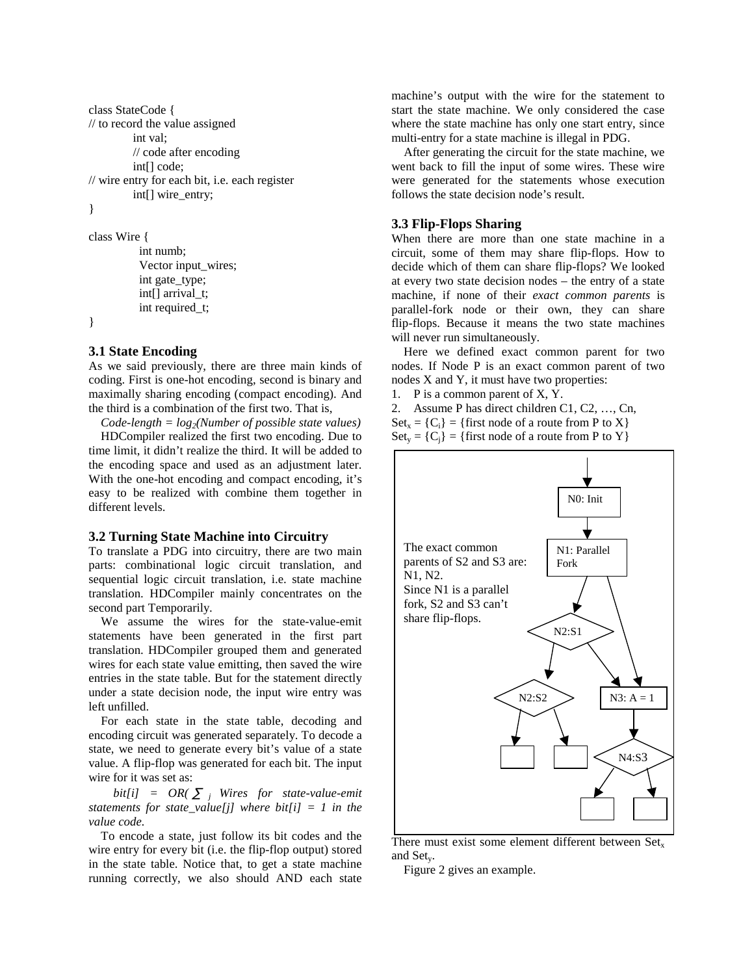```
class StateCode { 
// to record the value assigned
          int val; 
         // code after encoding
          int[] code; 
// wire entry for each bit, i.e. each register 
          int[] wire_entry; 
} 
class Wire {
```

```
 int numb;
 Vector input_wires;
int gate type;
int[] arrival t;
int required t;
```
# **3.1 State Encoding**

}

As we said previously, there are three main kinds of coding. First is one-hot encoding, second is binary and maximally sharing encoding (compact encoding). And the third is a combination of the first two. That is,

 $Code-length = log<sub>2</sub>(Number of possible state values)$ HDCompiler realized the first two encoding. Due to time limit, it didn't realize the third. It will be added to the encoding space and used as an adjustment later. With the one-hot encoding and compact encoding, it's easy to be realized with combine them together in different levels.

#### **3.2 Turning State Machine into Circuitry**

To translate a PDG into circuitry, there are two main parts: combinational logic circuit translation, and sequential logic circuit translation, i.e. state machine translation. HDCompiler mainly concentrates on the second part Temporarily.

We assume the wires for the state-value-emit statements have been generated in the first part translation. HDCompiler grouped them and generated wires for each state value emitting, then saved the wire entries in the state table. But for the statement directly under a state decision node, the input wire entry was left unfilled.

For each state in the state table, decoding and encoding circuit was generated separately. To decode a state, we need to generate every bit's value of a state value. A flip-flop was generated for each bit. The input wire for it was set as:

*bit[i] = OR( j Wires for state-value-emit statements for state value[j] where bit[i] = 1 in the value code.* 

To encode a state, just follow its bit codes and the wire entry for every bit (i.e. the flip-flop output) stored in the state table. Notice that, to get a state machine running correctly, we also should AND each state

machine's output with the wire for the statement to start the state machine. We only considered the case where the state machine has only one start entry, since multi-entry for a state machine is illegal in PDG.

After generating the circuit for the state machine, we went back to fill the input of some wires. These wire were generated for the statements whose execution follows the state decision node's result.

# **3.3 Flip-Flops Sharing**

When there are more than one state machine in a circuit, some of them may share flip-flops. How to decide which of them can share flip-flops? We looked at every two state decision nodes – the entry of a state machine, if none of their *exact common parents* is parallel-fork node or their own, they can share flip-flops. Because it means the two state machines will never run simultaneously.

Here we defined exact common parent for two nodes. If Node P is an exact common parent of two nodes X and Y, it must have two properties:

1. P is a common parent of X, Y.

2. Assume P has direct children C1, C2, …, Cn,  $Set_{x} = \{C_i\} = \{first node of a route from P to X\}$  $Set_v = {C_i} = {first node of a route from P to Y}$ 



There must exist some element different between Set. and Sety.

Figure 2 gives an example.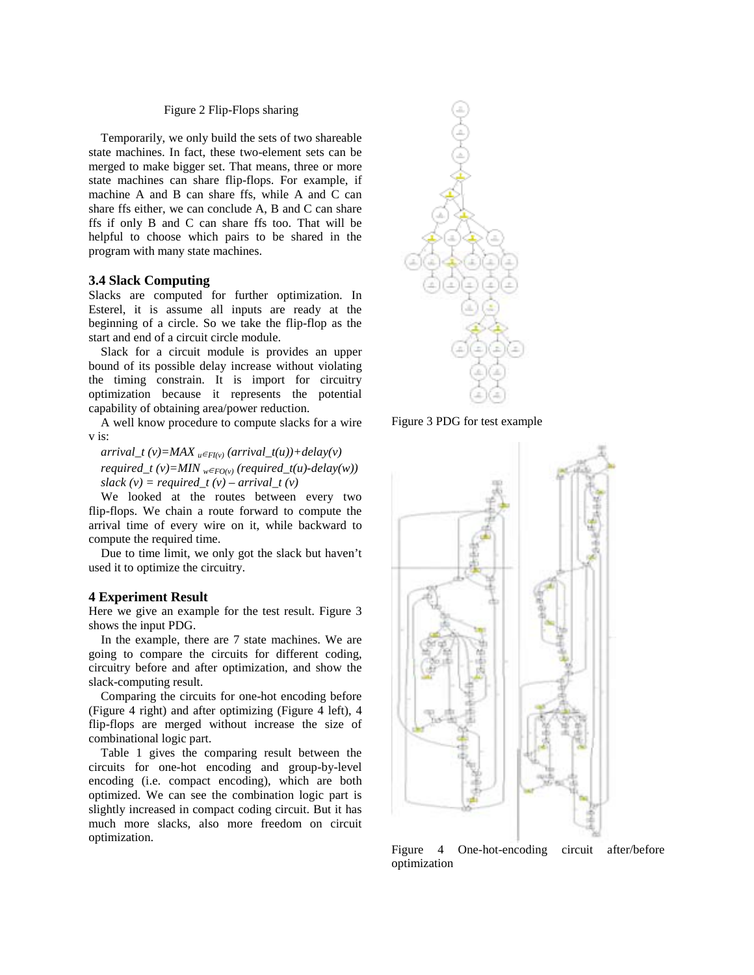#### Figure 2 Flip-Flops sharing

Temporarily, we only build the sets of two shareable state machines. In fact, these two-element sets can be merged to make bigger set. That means, three or more state machines can share flip-flops. For example, if machine A and B can share ffs, while A and C can share ffs either, we can conclude A, B and C can share ffs if only B and C can share ffs too. That will be helpful to choose which pairs to be shared in the program with many state machines.

#### **3.4 Slack Computing**

Slacks are computed for further optimization. In Esterel, it is assume all inputs are ready at the beginning of a circle. So we take the flip-flop as the start and end of a circuit circle module.

Slack for a circuit module is provides an upper bound of its possible delay increase without violating the timing constrain. It is import for circuitry optimization because it represents the potential capability of obtaining area/power reduction.

A well know procedure to compute slacks for a wire v is:

 $arrival_t(v) = MAX_u_{H(v)}(arrival_t(u)) + delay(v)$ *required\_t (v)=MIN*  $_{w}$   $_{FO(v)}$  (*required\_t(u)-delay(w)) slack*  $(v) = required_t (v) - arrival_t (v)$ 

We looked at the routes between every two flip-flops. We chain a route forward to compute the arrival time of every wire on it, while backward to compute the required time.

Due to time limit, we only got the slack but haven't used it to optimize the circuitry.

#### **4 Experiment Result**

Here we give an example for the test result. Figure 3 shows the input PDG.

In the example, there are 7 state machines. We are going to compare the circuits for different coding, circuitry before and after optimization, and show the slack-computing result.

Comparing the circuits for one-hot encoding before (Figure 4 right) and after optimizing (Figure 4 left), 4 flip-flops are merged without increase the size of combinational logic part.

Table 1 gives the comparing result between the circuits for one-hot encoding and group-by-level encoding (i.e. compact encoding), which are both optimized. We can see the combination logic part is slightly increased in compact coding circuit. But it has much more slacks, also more freedom on circuit optimization.



Figure 3 PDG for test example



Figure 4 One-hot-encoding circuit after/before optimization